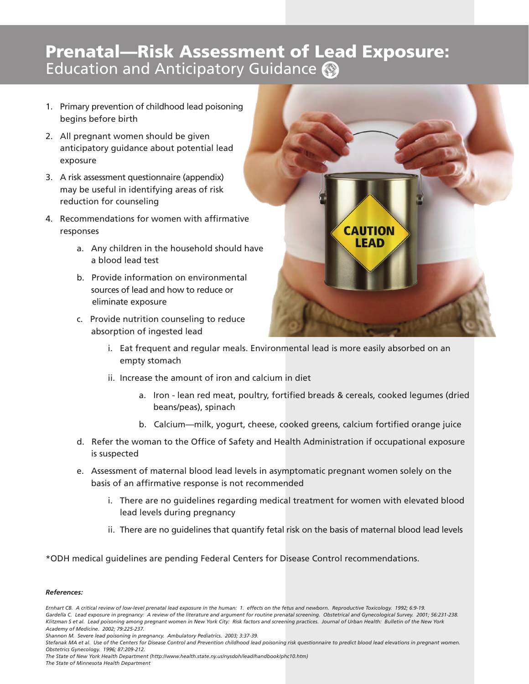## **Prenatal—Risk Assessment of Lead Exposure:**<br>Education and Anticipatory Guidance **@**

- 1. Primary prevention of childhood lead poisoning begins before birth
- 2. All pregnant women should be given anticipatory guidance about potential lead exposure
- 3. A risk assessment questionnaire (appendix) may be useful in identifying areas of risk reduction for counseling
- 4. Recommendations for women with affirmative responses
	- a. Any children in the household should have a blood lead test
	- b. Provide information on environmental sources of lead and how to reduce or eliminate exposure
	- c. Provide nutrition counseling to reduce absorption of ingested lead



- i. Eat frequent and regular meals. Environmental lead is more easily absorbed on an empty stomach
- ii. Increase the amount of iron and calcium in diet
	- a. Iron lean red meat, poultry, fortified breads & cereals, cooked legumes (dried beans/peas), spinach
	- b. Calcium—milk, yogurt, cheese, cooked greens, calcium fortified orange juice
- d. Refer the woman to the Office of Safety and Health Administration if occupational exposure is suspected
- e. Assessment of maternal blood lead levels in asymptomatic pregnant women solely on the basis of an affirmative response is not recommended
	- i. There are no guidelines regarding medical treatment for women with elevated blood lead levels during pregnancy
	- ii. There are no guidelines that quantify fetal risk on the basis of maternal blood lead levels

\*ODH medical guidelines are pending Federal Centers for Disease Control recommendations.

## *References:*

*The State of New York Health Department (http://www.health.state.ny.us/nysdoh/lead/handbook/phc10.htm) The State of Minnesota Health Department*

*Ernhart CB. A critical review of low-level prenatal lead exposure in the human: 1. effects on the fetus and newborn. Reproductive Toxicology. 1992; 6:9-19. Gardella C. Lead exposure in pregnancy: A review of the literature and argument for routine prenatal screening. Obstetrical and Gynecological Survey. 2001; 56:231-238. Klitzman S et al. Lead poisoning among pregnant women in New York City: Risk factors and screening practices. Journal of Urban Health: Bulletin of the New York Academy of Medicine. 2002; 79:225-237.*

*Shannon M. Severe lead poisoning in pregnancy. Ambulatory Pediatrics. 2003; 3:37-39.*

*Stefanak MA et al. Use of the Centers for Disease Control and Prevention childhood lead poisoning risk questionnaire to predict blood lead elevations in pregnant women. Obstetrics Gynecology. 1996; 87:209-212.*